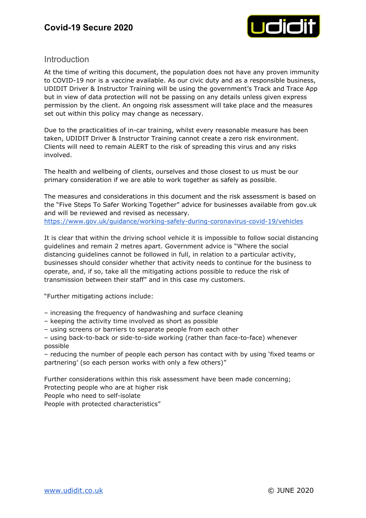

### **Introduction**

At the time of writing this document, the population does not have any proven immunity to COVID-19 nor is a vaccine available. As our civic duty and as a responsible business, UDIDIT Driver & Instructor Training will be using the government's Track and Trace App but in view of data protection will not be passing on any details unless given express permission by the client. An ongoing risk assessment will take place and the measures set out within this policy may change as necessary.

Due to the practicalities of in-car training, whilst every reasonable measure has been taken, UDIDIT Driver & Instructor Training cannot create a zero risk environment. Clients will need to remain ALERT to the risk of spreading this virus and any risks involved.

The health and wellbeing of clients, ourselves and those closest to us must be our primary consideration if we are able to work together as safely as possible.

The measures and considerations in this document and the risk assessment is based on the "Five Steps To Safer Working Together" advice for businesses available from gov.uk and will be reviewed and revised as necessary. <https://www.gov.uk/guidance/working-safely-during-coronavirus-covid-19/vehicles>

It is clear that within the driving school vehicle it is impossible to follow social distancing guidelines and remain 2 metres apart. Government advice is "Where the social distancing guidelines cannot be followed in full, in relation to a particular activity, businesses should consider whether that activity needs to continue for the business to operate, and, if so, take all the mitigating actions possible to reduce the risk of transmission between their staff" and in this case my customers.

"Further mitigating actions include:

– increasing the frequency of handwashing and surface cleaning

– keeping the activity time involved as short as possible

– using screens or barriers to separate people from each other

– using back-to-back or side-to-side working (rather than face-to-face) whenever possible

– reducing the number of people each person has contact with by using 'fixed teams or partnering' (so each person works with only a few others)"

Further considerations within this risk assessment have been made concerning; Protecting people who are at higher risk

People who need to self-isolate

People with protected characteristics"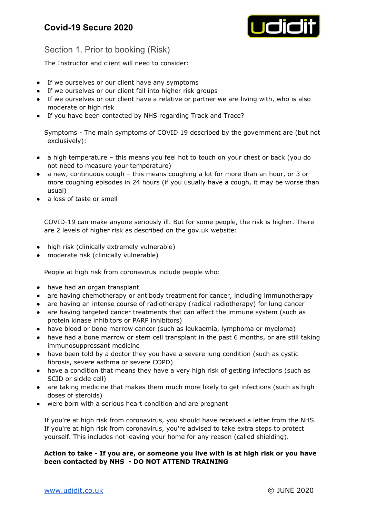

## Section 1. Prior to booking (Risk)

The Instructor and client will need to consider:

- If we ourselves or our client have any symptoms
- If we ourselves or our client fall into higher risk groups
- If we ourselves or our client have a relative or partner we are living with, who is also moderate or high risk
- If you have been contacted by NHS regarding Track and Trace?

Symptoms - The main symptoms of COVID 19 described by the government are (but not exclusively):

- a high temperature this means you feel hot to touch on your chest or back (you do not need to measure your temperature)
- a new, continuous cough this means coughing a lot for more than an hour, or 3 or more coughing episodes in 24 hours (if you usually have a cough, it may be worse than usual)
- a loss of taste or smell

COVID-19 can make anyone seriously ill. But for some people, the risk is higher. There are 2 levels of higher risk as described on the gov.uk website:

- high risk (clinically extremely vulnerable)
- moderate risk (clinically vulnerable)

People at high risk from coronavirus include people who:

- have had an organ transplant
- are having chemotherapy or antibody treatment for cancer, including immunotherapy
- are having an intense course of radiotherapy (radical radiotherapy) for lung cancer
- are having targeted cancer treatments that can affect the immune system (such as protein kinase inhibitors or PARP inhibitors)
- have blood or bone marrow cancer (such as leukaemia, lymphoma or myeloma)
- have had a bone marrow or stem cell transplant in the past 6 months, or are still taking immunosuppressant medicine
- have been told by a doctor they you have a severe lung condition (such as cystic fibrosis, severe asthma or severe COPD)
- have a condition that means they have a very high risk of getting infections (such as SCID or sickle cell)
- are taking medicine that makes them much more likely to get infections (such as high doses of steroids)
- were born with a serious heart condition and are pregnant

If you're at high risk from coronavirus, you should have received a letter from the NHS. If you're at high risk from coronavirus, you're advised to take extra steps to protect yourself. This includes not leaving your home for any reason (called shielding).

### **Action to take - If you are, or someone you live with is at high risk or you have been contacted by NHS - DO NOT ATTEND TRAINING**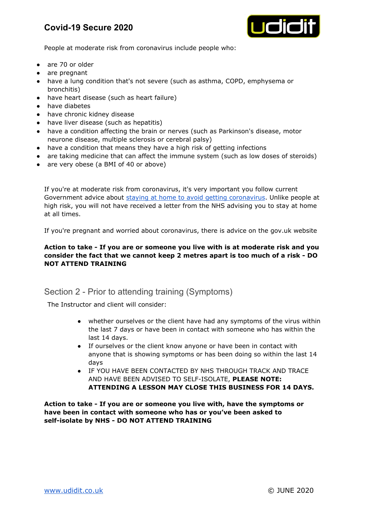# **Covid-19 Secure 2020**



People at moderate risk from coronavirus include people who:

- are 70 or older
- are pregnant
- have a lung condition that's not severe (such as asthma, COPD, emphysema or bronchitis)
- have heart disease (such as heart failure)
- have diabetes
- have chronic kidney disease
- have liver disease (such as hepatitis)
- have a condition affecting the brain or nerves (such as Parkinson's disease, motor neurone disease, multiple sclerosis or cerebral palsy)
- have a condition that means they have a high risk of getting infections
- are taking medicine that can affect the immune system (such as low doses of steroids)
- are very obese (a BMI of 40 or above)

If you're at moderate risk from coronavirus, it's very important you follow current Government advice about staying at home to avoid getting [coronavirus.](https://www.nhs.uk/conditions/coronavirus-covid-19/staying-at-home-to-avoid-getting-coronavirus/) Unlike people at high risk, you will not have received a letter from the NHS advising you to stay at home at all times.

If you're pregnant and worried about coronavirus, there is advice on the gov.uk website

### **Action to take - If you are or someone you live with is at moderate risk and you consider the fact that we cannot keep 2 metres apart is too much of a risk - DO NOT ATTEND TRAINING**

## Section 2 - Prior to attending training (Symptoms)

The Instructor and client will consider:

- whether ourselves or the client have had any symptoms of the virus within the last 7 days or have been in contact with someone who has within the last 14 days.
- If ourselves or the client know anyone or have been in contact with anyone that is showing symptoms or has been doing so within the last 14 days
- IF YOU HAVE BEEN CONTACTED BY NHS THROUGH TRACK AND TRACE AND HAVE BEEN ADVISED TO SELF-ISOLATE, **PLEASE NOTE: ATTENDING A LESSON MAY CLOSE THIS BUSINESS FOR 14 DAYS.**

**Action to take - If you are or someone you live with, have the symptoms or have been in contact with someone who has or you've been asked to self-isolate by NHS - DO NOT ATTEND TRAINING**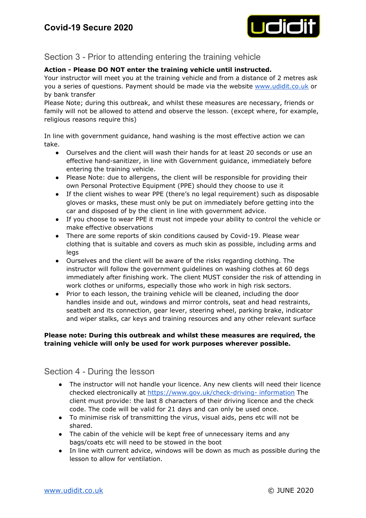

## Section 3 - Prior to attending entering the training vehicle

### **Action - Please DO NOT enter the training vehicle until instructed.**

Your instructor will meet you at the training vehicle and from a distance of 2 metres ask you a series of questions. Payment should be made via the website [www.udidit.co.uk](http://www.udidit.co.uk/) or by bank transfer

Please Note; during this outbreak, and whilst these measures are necessary, friends or family will not be allowed to attend and observe the lesson. (except where, for example, religious reasons require this)

In line with government guidance, hand washing is the most effective action we can take.

- Ourselves and the client will wash their hands for at least 20 seconds or use an effective hand-sanitizer, in line with Government guidance, immediately before entering the training vehicle.
- Please Note: due to allergens, the client will be responsible for providing their own Personal Protective Equipment (PPE) should they choose to use it
- If the client wishes to wear PPE (there's no legal requirement) such as disposable gloves or masks, these must only be put on immediately before getting into the car and disposed of by the client in line with government advice.
- If you choose to wear PPE it must not impede your ability to control the vehicle or make effective observations
- There are some reports of skin conditions caused by Covid-19. Please wear clothing that is suitable and covers as much skin as possible, including arms and legs
- Ourselves and the client will be aware of the risks regarding clothing. The instructor will follow the government guidelines on washing clothes at 60 degs immediately after finishing work. The client MUST consider the risk of attending in work clothes or uniforms, especially those who work in high risk sectors.
- Prior to each lesson, the training vehicle will be cleaned, including the door handles inside and out, windows and mirror controls, seat and head restraints, seatbelt and its connection, gear lever, steering wheel, parking brake, indicator and wiper stalks, car keys and training resources and any other relevant surface

### **Please note: During this outbreak and whilst these measures are required, the training vehicle will only be used for work purposes wherever possible.**

Section 4 - During the lesson

- The instructor will not handle your licence. Any new clients will need their licence checked electronically at [https://www.gov.uk/check-driving-](https://www.gov.uk/check-driving-information) information The client must provide: the last 8 characters of their driving licence and the check code. The code will be valid for 21 days and can only be used once.
- To minimise risk of transmitting the virus, visual aids, pens etc will not be shared.
- The cabin of the vehicle will be kept free of unnecessary items and any bags/coats etc will need to be stowed in the boot
- In line with current advice, windows will be down as much as possible during the lesson to allow for ventilation.